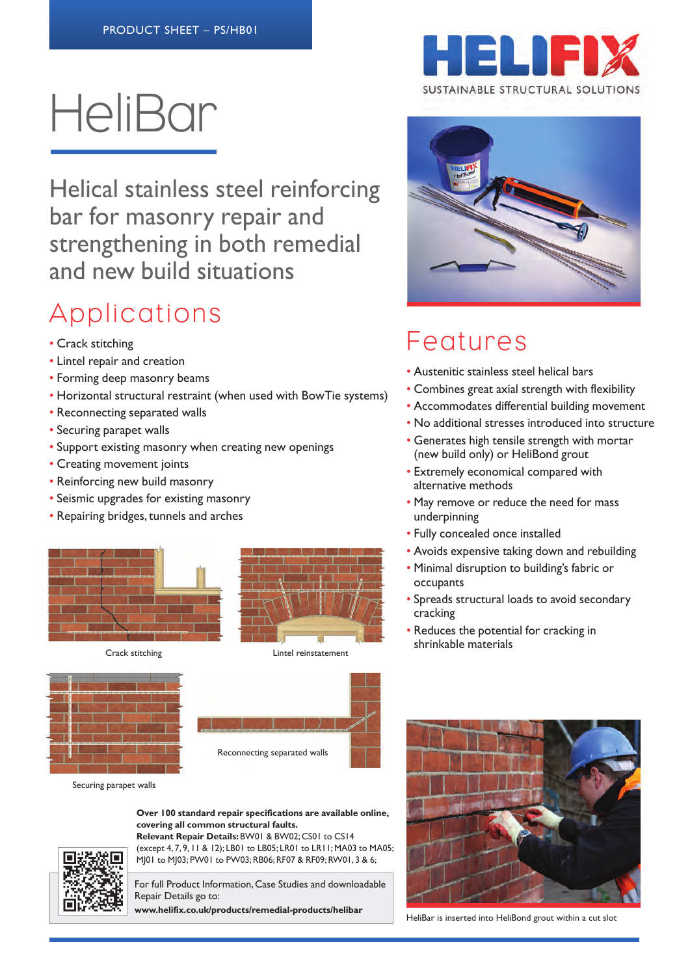

# HeliBar

Helical stainless steel reinforcing bar for masonry repair and strengthening in both remedial and new build situations

## Applications

- Crack stitching
- Lintel repair and creation
- Forming deep masonry beams
- Horizontal structural restraint (when used with BowTie systems)
- Reconnecting separated walls
- Securing parapet walls
- Support existing masonry when creating new openings
- Creating movement joints
- Reinforcing new build masonry
- Seismic upgrades for existing masonry
- Repairing bridges, tunnels and arches



Crack stitching **Lintel reinstatement** 





Securing parapet walls



**Over 100 standard repair specifications are available online, covering all common structural faults. Relevant Repair Details:** BW01 & BW02; CS01 to CS14

(except 4, 7, 9, 11 & 12); LB01 to LB05; LR01 to LR11; MA03 to MA05; MJ01 to MJ03; PW01 to PW03; RB06; RF07 & RF09; RW01, 3 & 6;

For full Product Information, Case Studies and downloadable Repair Details go to:

**www.helifix.co.uk/products/remedial-products/helibar**



## **Features**

- Austenitic stainless steel helical bars
- Combines great axial strength with flexibility
- Accommodates differential building movement
- No additional stresses introduced into structure
- Generates high tensile strength with mortar (new build only) or HeliBond grout
- Extremely economical compared with alternative methods
- May remove or reduce the need for mass underpinning
- Fully concealed once installed
- Avoids expensive taking down and rebuilding
- Minimal disruption to building's fabric or occupants
- Spreads structural loads to avoid secondary cracking
- Reduces the potential for cracking in shrinkable materials



HeliBar is inserted into HeliBond grout within a cut slot